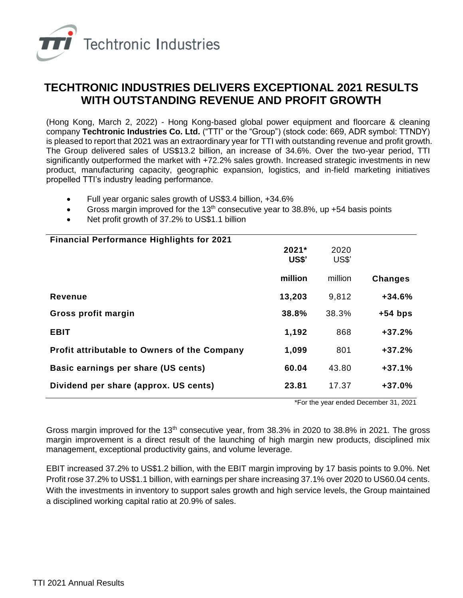

## **TECHTRONIC INDUSTRIES DELIVERS EXCEPTIONAL 2021 RESULTS WITH OUTSTANDING REVENUE AND PROFIT GROWTH**

(Hong Kong, March 2, 2022) - Hong Kong-based global power equipment and floorcare & cleaning company **Techtronic Industries Co. Ltd.** ("TTI" or the "Group") (stock code: 669, ADR symbol: TTNDY) is pleased to report that 2021 was an extraordinary year for TTI with outstanding revenue and profit growth. The Group delivered sales of US\$13.2 billion, an increase of 34.6%. Over the two-year period, TTI significantly outperformed the market with +72.2% sales growth. Increased strategic investments in new product, manufacturing capacity, geographic expansion, logistics, and in-field marketing initiatives propelled TTI's industry leading performance.

- Full year organic sales growth of US\$3.4 billion, +34.6%
- Gross margin improved for the 13<sup>th</sup> consecutive year to 38.8%, up  $+54$  basis points
- Net profit growth of 37.2% to US\$1.1 billion

| <b>Financial Performance Highlights for 2021</b>    | 2021*<br>US\$' | 2020<br>US\$' |                |
|-----------------------------------------------------|----------------|---------------|----------------|
|                                                     | million        | million       | <b>Changes</b> |
| <b>Revenue</b>                                      | 13,203         | 9,812         | $+34.6%$       |
| Gross profit margin                                 | 38.8%          | 38.3%         | $+54$ bps      |
| <b>EBIT</b>                                         | 1,192          | 868           | $+37.2%$       |
| <b>Profit attributable to Owners of the Company</b> | 1,099          | 801           | $+37.2%$       |
| Basic earnings per share (US cents)                 | 60.04          | 43.80         | $+37.1%$       |
| Dividend per share (approx. US cents)               | 23.81          | 17.37         | $+37.0%$       |
|                                                     |                |               |                |

\*For the year ended December 31, 2021

Gross margin improved for the 13<sup>th</sup> consecutive year, from 38.3% in 2020 to 38.8% in 2021. The gross margin improvement is a direct result of the launching of high margin new products, disciplined mix management, exceptional productivity gains, and volume leverage.

EBIT increased 37.2% to US\$1.2 billion, with the EBIT margin improving by 17 basis points to 9.0%. Net Profit rose 37.2% to US\$1.1 billion, with earnings per share increasing 37.1% over 2020 to US60.04 cents. With the investments in inventory to support sales growth and high service levels, the Group maintained a disciplined working capital ratio at 20.9% of sales.